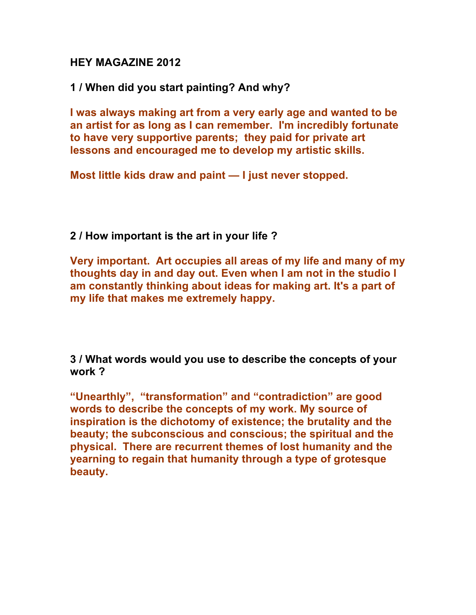## **HEY MAGAZINE 2012**

**1 / When did you start painting? And why?**

**I was always making art from a very early age and wanted to be an artist for as long as I can remember. I'm incredibly fortunate to have very supportive parents; they paid for private art lessons and encouraged me to develop my artistic skills.** 

**Most little kids draw and paint — I just never stopped.**

**2 / How important is the art in your life ?** 

**Very important. Art occupies all areas of my life and many of my thoughts day in and day out. Even when I am not in the studio I am constantly thinking about ideas for making art. It's a part of my life that makes me extremely happy.**

**3 / What words would you use to describe the concepts of your work ?** 

**"Unearthly", "transformation" and "contradiction" are good words to describe the concepts of my work. My source of inspiration is the dichotomy of existence; the brutality and the beauty; the subconscious and conscious; the spiritual and the physical. There are recurrent themes of lost humanity and the yearning to regain that humanity through a type of grotesque beauty.**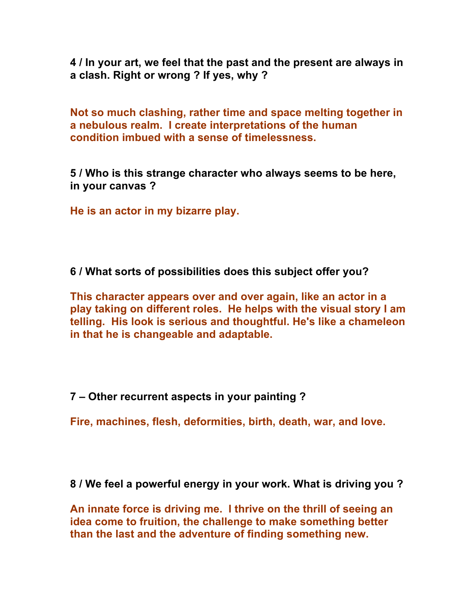**4 / In your art, we feel that the past and the present are always in a clash. Right or wrong ? If yes, why ?**

**Not so much clashing, rather time and space melting together in a nebulous realm. I create interpretations of the human condition imbued with a sense of timelessness.**

**5 / Who is this strange character who always seems to be here, in your canvas ?**

**He is an actor in my bizarre play.**

**6 / What sorts of possibilities does this subject offer you?**

**This character appears over and over again, like an actor in a play taking on different roles. He helps with the visual story I am telling. His look is serious and thoughtful. He's like a chameleon in that he is changeable and adaptable.** 

**7 – Other recurrent aspects in your painting ?** 

**Fire, machines, flesh, deformities, birth, death, war, and love.**

**8 / We feel a powerful energy in your work. What is driving you ?** 

**An innate force is driving me. I thrive on the thrill of seeing an idea come to fruition, the challenge to make something better than the last and the adventure of finding something new.**